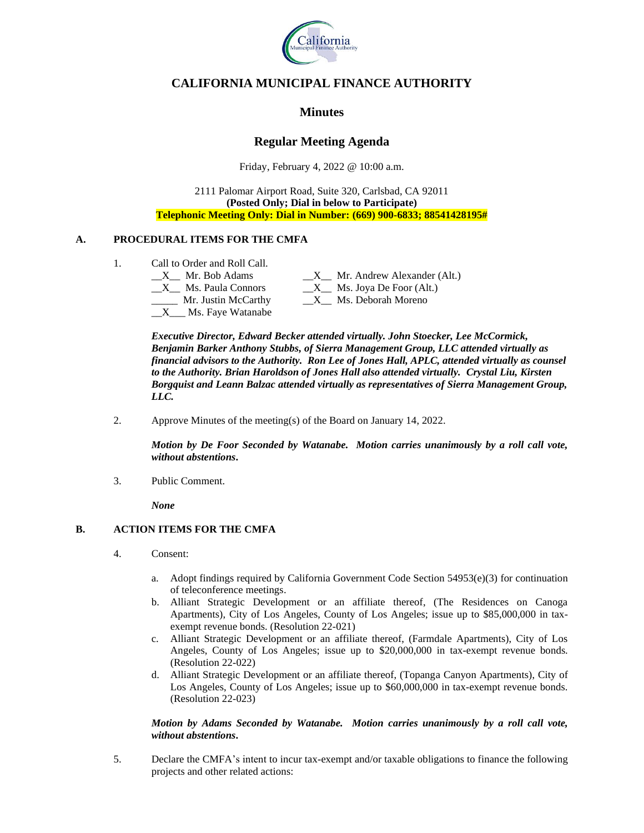

# **CALIFORNIA MUNICIPAL FINANCE AUTHORITY**

# **Minutes**

# **Regular Meeting Agenda**

Friday, February 4, 2022 @ 10:00 a.m.

2111 Palomar Airport Road, Suite 320, Carlsbad, CA 92011 **(Posted Only; Dial in below to Participate) Telephonic Meeting Only: Dial in Number: (669) 900-6833; 88541428195#**

### **A. PROCEDURAL ITEMS FOR THE CMFA**

- 1. Call to Order and Roll Call.
	- - X\_\_\_ Ms. Faye Watanabe

 $\_X$ <sub> $\_$ </sub> Mr. Bob Adams  $\_X$ <sub> $\_$ </sub> Mr. Andrew Alexander (Alt.)  $\_X$  Ms. Paula Connors  $\_X$  Ms. Joya De Foor (Alt.) \_\_\_\_\_ Mr. Justin McCarthy \_\_X\_\_ Ms. Deborah Moreno

*Executive Director, Edward Becker attended virtually. John Stoecker, Lee McCormick, Benjamin Barker Anthony Stubbs, of Sierra Management Group, LLC attended virtually as financial advisors to the Authority. Ron Lee of Jones Hall, APLC, attended virtually as counsel to the Authority. Brian Haroldson of Jones Hall also attended virtually. Crystal Liu, Kirsten Borgquist and Leann Balzac attended virtually as representatives of Sierra Management Group, LLC.*

2. Approve Minutes of the meeting(s) of the Board on January 14, 2022.

*Motion by De Foor Seconded by Watanabe. Motion carries unanimously by a roll call vote, without abstentions***.**

3. Public Comment.

*None*

## **B. ACTION ITEMS FOR THE CMFA**

- 4. Consent:
	- a. Adopt findings required by California Government Code Section  $54953(e)(3)$  for continuation of teleconference meetings.
	- b. Alliant Strategic Development or an affiliate thereof, (The Residences on Canoga Apartments), City of Los Angeles, County of Los Angeles; issue up to \$85,000,000 in taxexempt revenue bonds. (Resolution 22-021)
	- c. Alliant Strategic Development or an affiliate thereof, (Farmdale Apartments), City of Los Angeles, County of Los Angeles; issue up to \$20,000,000 in tax-exempt revenue bonds. (Resolution 22-022)
	- d. Alliant Strategic Development or an affiliate thereof, (Topanga Canyon Apartments), City of Los Angeles, County of Los Angeles; issue up to \$60,000,000 in tax-exempt revenue bonds. (Resolution 22-023)

### *Motion by Adams Seconded by Watanabe. Motion carries unanimously by a roll call vote, without abstentions***.**

5. Declare the CMFA's intent to incur tax-exempt and/or taxable obligations to finance the following projects and other related actions: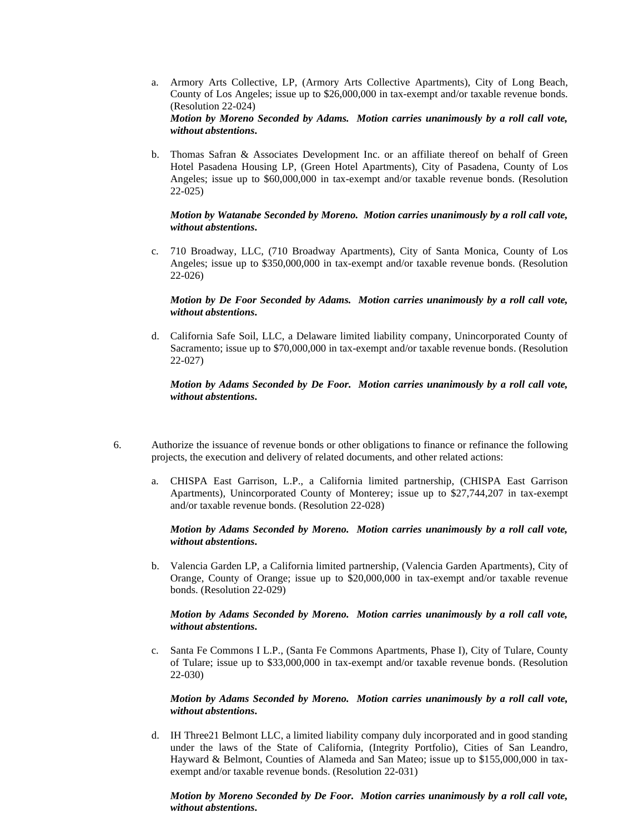- a. Armory Arts Collective, LP, (Armory Arts Collective Apartments), City of Long Beach, County of Los Angeles; issue up to \$26,000,000 in tax-exempt and/or taxable revenue bonds. (Resolution 22-024) *Motion by Moreno Seconded by Adams. Motion carries unanimously by a roll call vote, without abstentions***.**
- b. Thomas Safran & Associates Development Inc. or an affiliate thereof on behalf of Green Hotel Pasadena Housing LP, (Green Hotel Apartments), City of Pasadena, County of Los Angeles; issue up to \$60,000,000 in tax-exempt and/or taxable revenue bonds. (Resolution 22-025)

#### *Motion by Watanabe Seconded by Moreno. Motion carries unanimously by a roll call vote, without abstentions***.**

c. 710 Broadway, LLC, (710 Broadway Apartments), City of Santa Monica, County of Los Angeles; issue up to \$350,000,000 in tax-exempt and/or taxable revenue bonds. (Resolution 22-026)

#### *Motion by De Foor Seconded by Adams. Motion carries unanimously by a roll call vote, without abstentions***.**

d. California Safe Soil, LLC, a Delaware limited liability company, Unincorporated County of Sacramento; issue up to \$70,000,000 in tax-exempt and/or taxable revenue bonds. (Resolution 22-027)

#### *Motion by Adams Seconded by De Foor. Motion carries unanimously by a roll call vote, without abstentions***.**

- 6. Authorize the issuance of revenue bonds or other obligations to finance or refinance the following projects, the execution and delivery of related documents, and other related actions:
	- a. CHISPA East Garrison, L.P., a California limited partnership, (CHISPA East Garrison Apartments), Unincorporated County of Monterey; issue up to \$27,744,207 in tax-exempt and/or taxable revenue bonds. (Resolution 22-028)

#### *Motion by Adams Seconded by Moreno. Motion carries unanimously by a roll call vote, without abstentions***.**

b. Valencia Garden LP, a California limited partnership, (Valencia Garden Apartments), City of Orange, County of Orange; issue up to \$20,000,000 in tax-exempt and/or taxable revenue bonds. (Resolution 22-029)

#### *Motion by Adams Seconded by Moreno. Motion carries unanimously by a roll call vote, without abstentions***.**

c. Santa Fe Commons I L.P., (Santa Fe Commons Apartments, Phase I), City of Tulare, County of Tulare; issue up to \$33,000,000 in tax-exempt and/or taxable revenue bonds. (Resolution 22-030)

#### *Motion by Adams Seconded by Moreno. Motion carries unanimously by a roll call vote, without abstentions***.**

d. IH Three21 Belmont LLC, a limited liability company duly incorporated and in good standing under the laws of the State of California, (Integrity Portfolio), Cities of San Leandro, Hayward & Belmont, Counties of Alameda and San Mateo; issue up to \$155,000,000 in taxexempt and/or taxable revenue bonds. (Resolution 22-031)

#### *Motion by Moreno Seconded by De Foor. Motion carries unanimously by a roll call vote, without abstentions***.**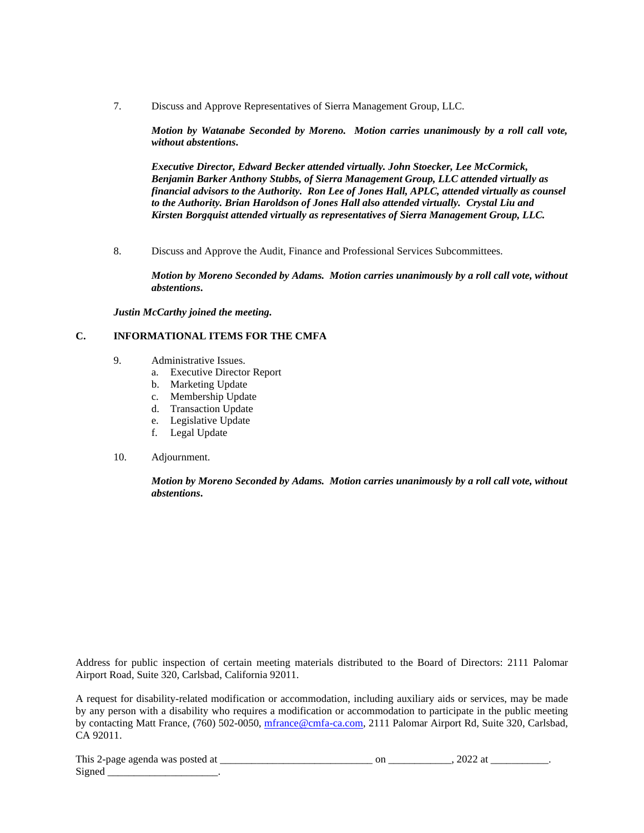7. Discuss and Approve Representatives of Sierra Management Group, LLC.

*Motion by Watanabe Seconded by Moreno. Motion carries unanimously by a roll call vote, without abstentions***.**

*Executive Director, Edward Becker attended virtually. John Stoecker, Lee McCormick, Benjamin Barker Anthony Stubbs, of Sierra Management Group, LLC attended virtually as financial advisors to the Authority. Ron Lee of Jones Hall, APLC, attended virtually as counsel to the Authority. Brian Haroldson of Jones Hall also attended virtually. Crystal Liu and Kirsten Borgquist attended virtually as representatives of Sierra Management Group, LLC.*

8. Discuss and Approve the Audit, Finance and Professional Services Subcommittees.

*Motion by Moreno Seconded by Adams. Motion carries unanimously by a roll call vote, without abstentions***.**

*Justin McCarthy joined the meeting.*

### **C. INFORMATIONAL ITEMS FOR THE CMFA**

- 9. Administrative Issues.
	- a. Executive Director Report
	- b. Marketing Update
	- c. Membership Update
	- d. Transaction Update
	- e. Legislative Update
	- f. Legal Update

### 10. Adjournment.

*Motion by Moreno Seconded by Adams. Motion carries unanimously by a roll call vote, without abstentions***.**

Address for public inspection of certain meeting materials distributed to the Board of Directors: 2111 Palomar Airport Road, Suite 320, Carlsbad, California 92011.

A request for disability-related modification or accommodation, including auxiliary aids or services, may be made by any person with a disability who requires a modification or accommodation to participate in the public meeting by contacting Matt France, (760) 502-0050, [mfrance@cmfa-ca.com,](mailto:mfrance@cmfa-ca.com) 2111 Palomar Airport Rd, Suite 320, Carlsbad, CA 92011.

| This<br>2-nage agenda was<br>-a<br>-nosted | or | ______ |  |
|--------------------------------------------|----|--------|--|
| $\sim$<br>Signed                           |    |        |  |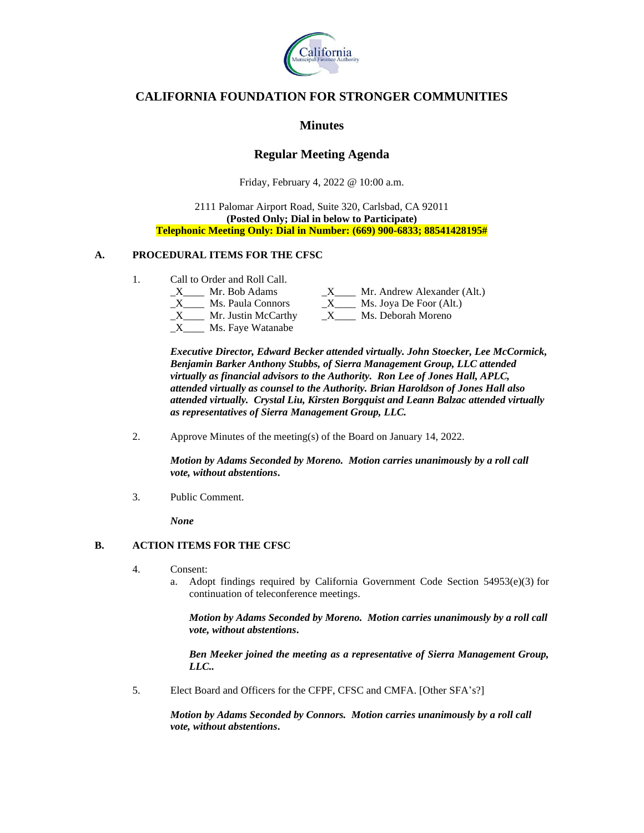

# **CALIFORNIA FOUNDATION FOR STRONGER COMMUNITIES**

## **Minutes**

# **Regular Meeting Agenda**

Friday, February 4, 2022 @ 10:00 a.m.

2111 Palomar Airport Road, Suite 320, Carlsbad, CA 92011 **(Posted Only; Dial in below to Participate) Telephonic Meeting Only: Dial in Number: (669) 900-6833; 88541428195#**

### **A. PROCEDURAL ITEMS FOR THE CFSC**

1. Call to Order and Roll Call.

| Mr. Bob Adams       | Mr. Andrew Alexander (Alt.) |
|---------------------|-----------------------------|
| Ms. Paula Connors   | Ms. Joya De Foor (Alt.)     |
| Mr. Justin McCarthy | Ms. Deborah Moreno          |
| Ms. Faye Watanabe   |                             |

*Executive Director, Edward Becker attended virtually. John Stoecker, Lee McCormick, Benjamin Barker Anthony Stubbs, of Sierra Management Group, LLC attended virtually as financial advisors to the Authority. Ron Lee of Jones Hall, APLC, attended virtually as counsel to the Authority. Brian Haroldson of Jones Hall also attended virtually. Crystal Liu, Kirsten Borgquist and Leann Balzac attended virtually as representatives of Sierra Management Group, LLC.*

2. Approve Minutes of the meeting(s) of the Board on January 14, 2022.

*Motion by Adams Seconded by Moreno. Motion carries unanimously by a roll call vote, without abstentions***.**

3. Public Comment.

*None*

## **B. ACTION ITEMS FOR THE CFSC**

- 4. Consent:
	- a. Adopt findings required by California Government Code Section 54953(e)(3) for continuation of teleconference meetings.

*Motion by Adams Seconded by Moreno. Motion carries unanimously by a roll call vote, without abstentions***.**

*Ben Meeker joined the meeting as a representative of Sierra Management Group, LLC..*

5. Elect Board and Officers for the CFPF, CFSC and CMFA. [Other SFA's?]

*Motion by Adams Seconded by Connors. Motion carries unanimously by a roll call vote, without abstentions***.**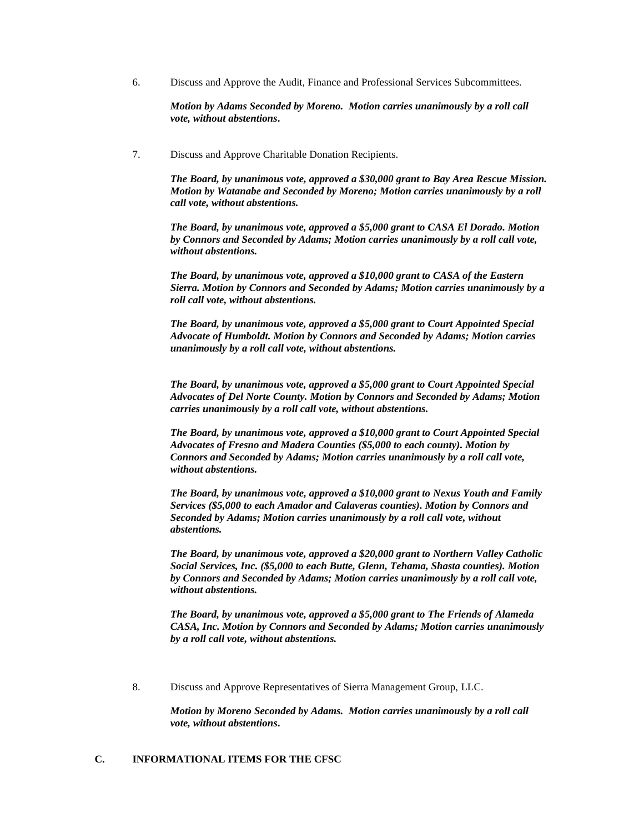6. Discuss and Approve the Audit, Finance and Professional Services Subcommittees.

*Motion by Adams Seconded by Moreno. Motion carries unanimously by a roll call vote, without abstentions***.**

7. Discuss and Approve Charitable Donation Recipients.

*The Board, by unanimous vote, approved a \$30,000 grant to Bay Area Rescue Mission. Motion by Watanabe and Seconded by Moreno; Motion carries unanimously by a roll call vote, without abstentions.* 

*The Board, by unanimous vote, approved a \$5,000 grant to CASA El Dorado. Motion by Connors and Seconded by Adams; Motion carries unanimously by a roll call vote, without abstentions.* 

*The Board, by unanimous vote, approved a \$10,000 grant to CASA of the Eastern Sierra. Motion by Connors and Seconded by Adams; Motion carries unanimously by a roll call vote, without abstentions.* 

*The Board, by unanimous vote, approved a \$5,000 grant to Court Appointed Special Advocate of Humboldt. Motion by Connors and Seconded by Adams; Motion carries unanimously by a roll call vote, without abstentions.* 

*The Board, by unanimous vote, approved a \$5,000 grant to Court Appointed Special Advocates of Del Norte County. Motion by Connors and Seconded by Adams; Motion carries unanimously by a roll call vote, without abstentions.* 

*The Board, by unanimous vote, approved a \$10,000 grant to Court Appointed Special Advocates of Fresno and Madera Counties (\$5,000 to each county). Motion by Connors and Seconded by Adams; Motion carries unanimously by a roll call vote, without abstentions.* 

*The Board, by unanimous vote, approved a \$10,000 grant to Nexus Youth and Family Services (\$5,000 to each Amador and Calaveras counties). Motion by Connors and Seconded by Adams; Motion carries unanimously by a roll call vote, without abstentions.* 

*The Board, by unanimous vote, approved a \$20,000 grant to Northern Valley Catholic Social Services, Inc. (\$5,000 to each Butte, Glenn, Tehama, Shasta counties). Motion by Connors and Seconded by Adams; Motion carries unanimously by a roll call vote, without abstentions.* 

*The Board, by unanimous vote, approved a \$5,000 grant to The Friends of Alameda CASA, Inc. Motion by Connors and Seconded by Adams; Motion carries unanimously by a roll call vote, without abstentions.*

8. Discuss and Approve Representatives of Sierra Management Group, LLC.

*Motion by Moreno Seconded by Adams. Motion carries unanimously by a roll call vote, without abstentions***.**

### **C. INFORMATIONAL ITEMS FOR THE CFSC**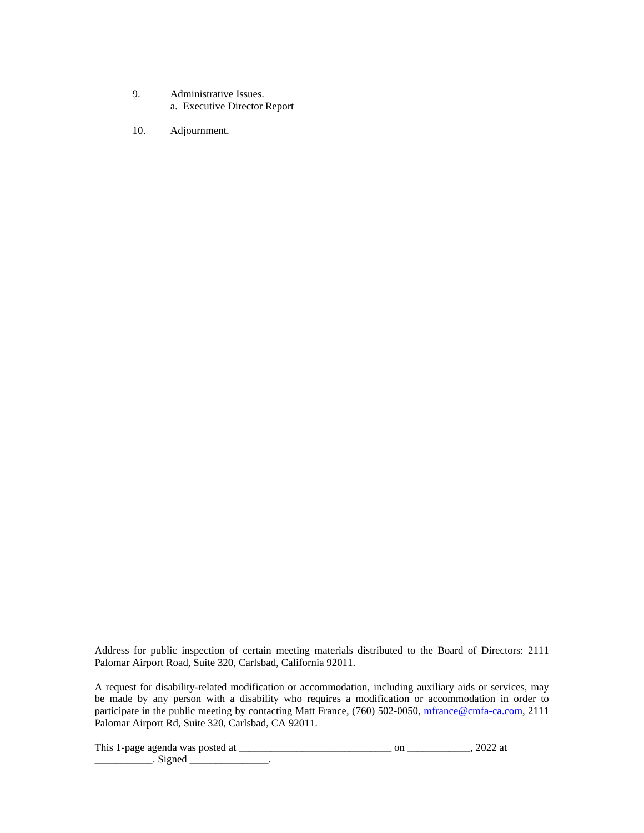- 9. Administrative Issues. a. Executive Director Report
- 10. Adjournment.

Address for public inspection of certain meeting materials distributed to the Board of Directors: 2111 Palomar Airport Road, Suite 320, Carlsbad, California 92011.

A request for disability-related modification or accommodation, including auxiliary aids or services, may be made by any person with a disability who requires a modification or accommodation in order to participate in the public meeting by contacting Matt France, (760) 502-0050, [mfrance@cmfa-ca.com,](mailto:mfrance@cmfa-ca.com) 2111 Palomar Airport Rd, Suite 320, Carlsbad, CA 92011.

This 1-page agenda was posted at \_\_\_\_\_\_\_\_\_\_\_\_\_\_\_\_\_\_\_\_\_\_\_\_\_\_\_\_\_ on \_\_\_\_\_\_\_\_\_\_\_\_, 2022 at \_\_\_\_\_\_\_\_\_\_\_\_\_\_\_. Signed \_\_\_\_\_\_\_\_\_\_\_\_\_\_\_\_\_.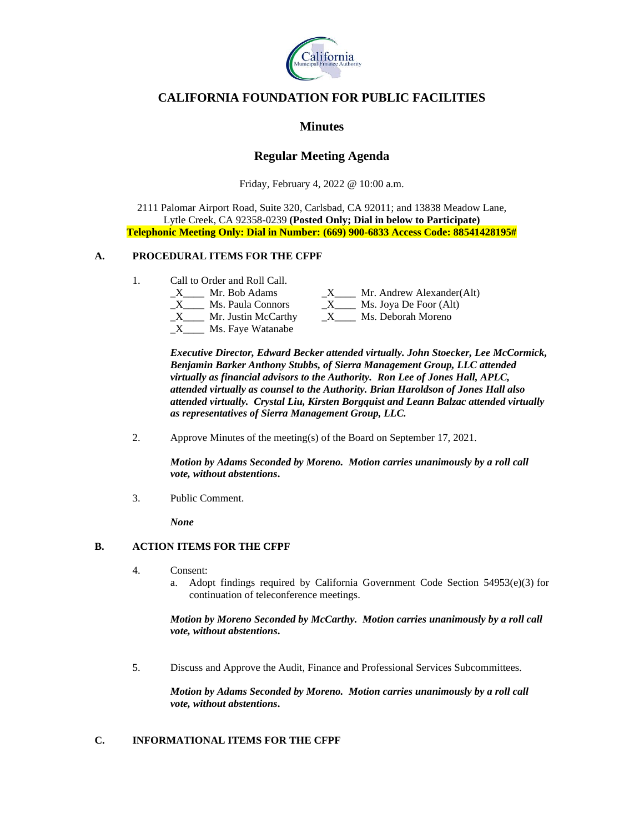

# **CALIFORNIA FOUNDATION FOR PUBLIC FACILITIES**

## **Minutes**

# **Regular Meeting Agenda**

Friday, February 4, 2022 @ 10:00 a.m.

2111 Palomar Airport Road, Suite 320, Carlsbad, CA 92011; and 13838 Meadow Lane, Lytle Creek, CA 92358-0239 **(Posted Only; Dial in below to Participate) Telephonic Meeting Only: Dial in Number: (669) 900-6833 Access Code: 88541428195#**

### **A. PROCEDURAL ITEMS FOR THE CFPF**

1. Call to Order and Roll Call.

| Mr. Bob Adams       | Mr. Andrew Alexander(Alt) |
|---------------------|---------------------------|
| Ms. Paula Connors   | Ms. Joya De Foor (Alt)    |
| Mr. Justin McCarthy | Ms. Deborah Moreno        |
| Ms. Faye Watanabe   |                           |

*Executive Director, Edward Becker attended virtually. John Stoecker, Lee McCormick, Benjamin Barker Anthony Stubbs, of Sierra Management Group, LLC attended virtually as financial advisors to the Authority. Ron Lee of Jones Hall, APLC, attended virtually as counsel to the Authority. Brian Haroldson of Jones Hall also attended virtually. Crystal Liu, Kirsten Borgquist and Leann Balzac attended virtually as representatives of Sierra Management Group, LLC.*

2. Approve Minutes of the meeting(s) of the Board on September 17, 2021.

*Motion by Adams Seconded by Moreno. Motion carries unanimously by a roll call vote, without abstentions***.**

3. Public Comment.

*None*

## **B. ACTION ITEMS FOR THE CFPF**

- 4. Consent:
	- a. Adopt findings required by California Government Code Section  $54953(e)(3)$  for continuation of teleconference meetings.

*Motion by Moreno Seconded by McCarthy. Motion carries unanimously by a roll call vote, without abstentions***.**

5. Discuss and Approve the Audit, Finance and Professional Services Subcommittees.

*Motion by Adams Seconded by Moreno. Motion carries unanimously by a roll call vote, without abstentions***.**

## **C. INFORMATIONAL ITEMS FOR THE CFPF**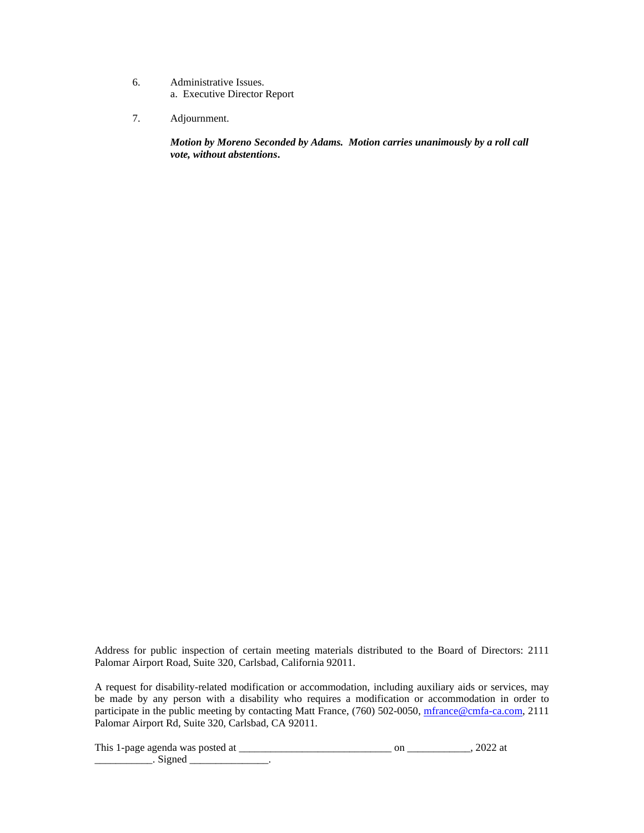- 6. Administrative Issues. a. Executive Director Report
- 7. Adjournment.

*Motion by Moreno Seconded by Adams. Motion carries unanimously by a roll call vote, without abstentions***.**

Address for public inspection of certain meeting materials distributed to the Board of Directors: 2111 Palomar Airport Road, Suite 320, Carlsbad, California 92011.

A request for disability-related modification or accommodation, including auxiliary aids or services, may be made by any person with a disability who requires a modification or accommodation in order to participate in the public meeting by contacting Matt France, (760) 502-0050, [mfrance@cmfa-ca.com,](mailto:mfrance@cmfa-ca.com) 2111 Palomar Airport Rd, Suite 320, Carlsbad, CA 92011.

This 1-page agenda was posted at \_\_\_\_\_\_\_\_\_\_\_\_\_\_\_\_\_\_\_\_\_\_\_\_\_\_\_\_\_ on \_\_\_\_\_\_\_\_\_\_\_\_, 2022 at \_\_\_\_\_\_\_\_\_\_\_\_\_\_\_. Signed \_\_\_\_\_\_\_\_\_\_\_\_\_\_\_\_\_.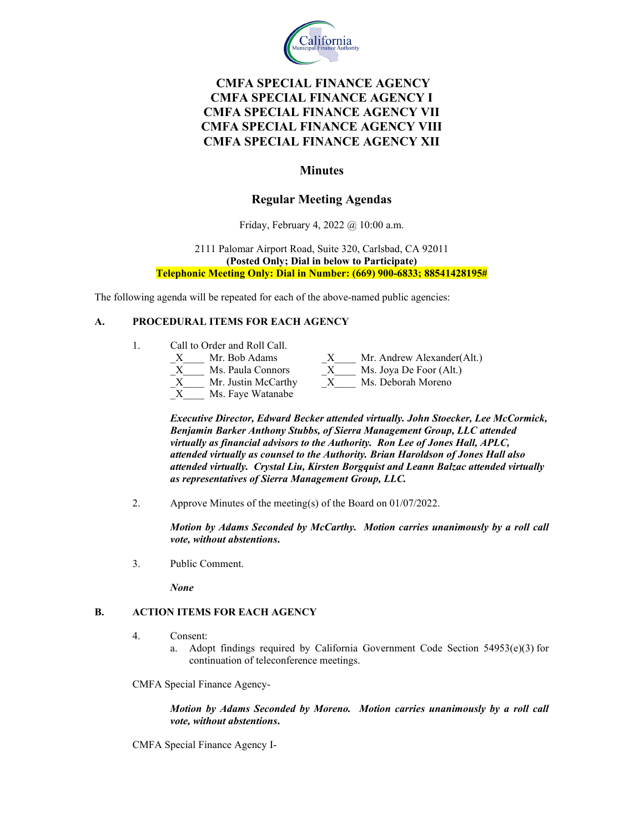

# **CMFA SPECIAL FINANCE AGENCY CMFA SPECIAL FINANCE AGENCY I CMFA SPECIAL FINANCE AGENCY VII CMFA SPECIAL FINANCE AGENCY VIII CMFA SPECIAL FINANCE AGENCY XII**

## **Minutes**

## **Regular Meeting Agendas**

Friday, February 4, 2022 @ 10:00 a.m.

2111 Palomar Airport Road, Suite 320, Carlsbad, CA 92011 **(Posted Only; Dial in below to Participate) Telephonic Meeting Only: Dial in Number: (669) 900-6833; 88541428195#**

The following agenda will be repeated for each of the above-named public agencies:

### **A. PROCEDURAL ITEMS FOR EACH AGENCY**

|  | Call to Order and Roll Call. |   |                            |  |  |  |
|--|------------------------------|---|----------------------------|--|--|--|
|  | Mr. Bob Adams                | X | Mr. Andrew Alexander(Alt.) |  |  |  |
|  | Ms. Paula Connors            | X | Ms. Joya De Foor (Alt.)    |  |  |  |
|  | Mr. Justin McCarthy          | X | Ms. Deborah Moreno         |  |  |  |
|  | Ms. Faye Watanabe            |   |                            |  |  |  |

*Executive Director, Edward Becker attended virtually. John Stoecker, Lee McCormick, Benjamin Barker Anthony Stubbs, of Sierra Management Group, LLC attended virtually as financial advisors to the Authority. Ron Lee of Jones Hall, APLC, attended virtually as counsel to the Authority. Brian Haroldson of Jones Hall also attended virtually. Crystal Liu, Kirsten Borgquist and Leann Balzac attended virtually as representatives of Sierra Management Group, LLC.*

2. Approve Minutes of the meeting(s) of the Board on 01/07/2022.

*Motion by Adams Seconded by McCarthy. Motion carries unanimously by a roll call vote, without abstentions***.**

3. Public Comment.

*None*

### **B. ACTION ITEMS FOR EACH AGENCY**

- 4. Consent:
	- a. Adopt findings required by California Government Code Section 54953(e)(3) for continuation of teleconference meetings.

CMFA Special Finance Agency-

*Motion by Adams Seconded by Moreno. Motion carries unanimously by a roll call vote, without abstentions***.**

CMFA Special Finance Agency I-